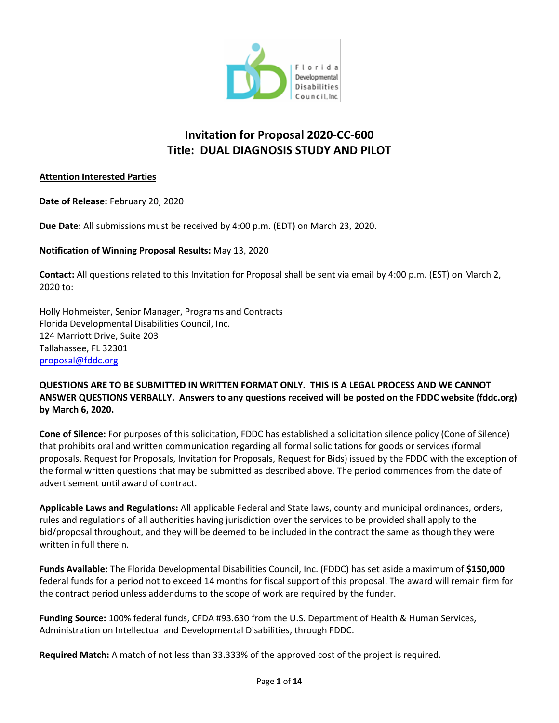

# **Invitation for Proposal 2020-CC-600 Title: DUAL DIAGNOSIS STUDY AND PILOT**

#### **Attention Interested Parties**

**Date of Release:** February 20, 2020

**Due Date:** All submissions must be received by 4:00 p.m. (EDT) on March 23, 2020.

**Notification of Winning Proposal Results:** May 13, 2020

**Contact:** All questions related to this Invitation for Proposal shall be sent via email by 4:00 p.m. (EST) on March 2, 2020 to:

Holly Hohmeister, Senior Manager, Programs and Contracts Florida Developmental Disabilities Council, Inc. 124 Marriott Drive, Suite 203 Tallahassee, FL 32301 [proposal@fddc.org](mailto:proposal@fddc.org)

#### **QUESTIONS ARE TO BE SUBMITTED IN WRITTEN FORMAT ONLY. THIS IS A LEGAL PROCESS AND WE CANNOT ANSWER QUESTIONS VERBALLY. Answers to any questions received will be posted on the FDDC website (fddc.org) by March 6, 2020.**

**Cone of Silence:** For purposes of this solicitation, FDDC has established a solicitation silence policy (Cone of Silence) that prohibits oral and written communication regarding all formal solicitations for goods or services (formal proposals, Request for Proposals, Invitation for Proposals, Request for Bids) issued by the FDDC with the exception of the formal written questions that may be submitted as described above. The period commences from the date of advertisement until award of contract.

**Applicable Laws and Regulations:** All applicable Federal and State laws, county and municipal ordinances, orders, rules and regulations of all authorities having jurisdiction over the services to be provided shall apply to the bid/proposal throughout, and they will be deemed to be included in the contract the same as though they were written in full therein.

**Funds Available:** The Florida Developmental Disabilities Council, Inc. (FDDC) has set aside a maximum of **\$150,000** federal funds for a period not to exceed 14 months for fiscal support of this proposal. The award will remain firm for the contract period unless addendums to the scope of work are required by the funder.

**Funding Source:** 100% federal funds, CFDA #93.630 from the U.S. Department of Health & Human Services, Administration on Intellectual and Developmental Disabilities, through FDDC.

**Required Match:** A match of not less than 33.333% of the approved cost of the project is required.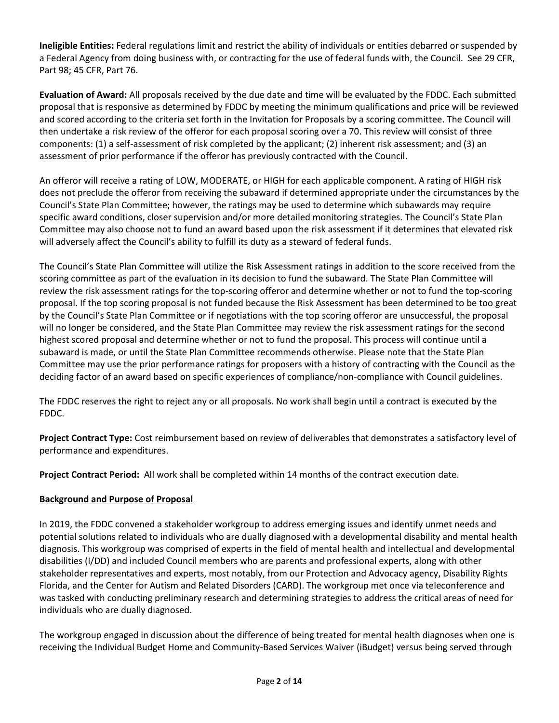**Ineligible Entities:** Federal regulations limit and restrict the ability of individuals or entities debarred or suspended by a Federal Agency from doing business with, or contracting for the use of federal funds with, the Council. See 29 CFR, Part 98; 45 CFR, Part 76.

**Evaluation of Award:** All proposals received by the due date and time will be evaluated by the FDDC. Each submitted proposal that is responsive as determined by FDDC by meeting the minimum qualifications and price will be reviewed and scored according to the criteria set forth in the Invitation for Proposals by a scoring committee. The Council will then undertake a risk review of the offeror for each proposal scoring over a 70. This review will consist of three components: (1) a self-assessment of risk completed by the applicant; (2) inherent risk assessment; and (3) an assessment of prior performance if the offeror has previously contracted with the Council.

An offeror will receive a rating of LOW, MODERATE, or HIGH for each applicable component. A rating of HIGH risk does not preclude the offeror from receiving the subaward if determined appropriate under the circumstances by the Council's State Plan Committee; however, the ratings may be used to determine which subawards may require specific award conditions, closer supervision and/or more detailed monitoring strategies. The Council's State Plan Committee may also choose not to fund an award based upon the risk assessment if it determines that elevated risk will adversely affect the Council's ability to fulfill its duty as a steward of federal funds.

The Council's State Plan Committee will utilize the Risk Assessment ratings in addition to the score received from the scoring committee as part of the evaluation in its decision to fund the subaward. The State Plan Committee will review the risk assessment ratings for the top-scoring offeror and determine whether or not to fund the top-scoring proposal. If the top scoring proposal is not funded because the Risk Assessment has been determined to be too great by the Council's State Plan Committee or if negotiations with the top scoring offeror are unsuccessful, the proposal will no longer be considered, and the State Plan Committee may review the risk assessment ratings for the second highest scored proposal and determine whether or not to fund the proposal. This process will continue until a subaward is made, or until the State Plan Committee recommends otherwise. Please note that the State Plan Committee may use the prior performance ratings for proposers with a history of contracting with the Council as the deciding factor of an award based on specific experiences of compliance/non-compliance with Council guidelines.

The FDDC reserves the right to reject any or all proposals. No work shall begin until a contract is executed by the FDDC.

**Project Contract Type:** Cost reimbursement based on review of deliverables that demonstrates a satisfactory level of performance and expenditures.

**Project Contract Period:** All work shall be completed within 14 months of the contract execution date.

#### **Background and Purpose of Proposal**

In 2019, the FDDC convened a stakeholder workgroup to address emerging issues and identify unmet needs and potential solutions related to individuals who are dually diagnosed with a developmental disability and mental health diagnosis. This workgroup was comprised of experts in the field of mental health and intellectual and developmental disabilities (I/DD) and included Council members who are parents and professional experts, along with other stakeholder representatives and experts, most notably, from our Protection and Advocacy agency, Disability Rights Florida, and the Center for Autism and Related Disorders (CARD). The workgroup met once via teleconference and was tasked with conducting preliminary research and determining strategies to address the critical areas of need for individuals who are dually diagnosed.

The workgroup engaged in discussion about the difference of being treated for mental health diagnoses when one is receiving the Individual Budget Home and Community-Based Services Waiver (iBudget) versus being served through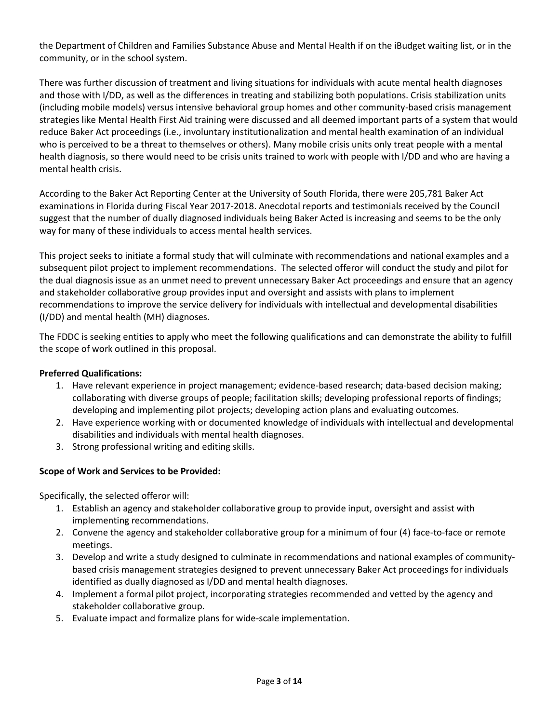the Department of Children and Families Substance Abuse and Mental Health if on the iBudget waiting list, or in the community, or in the school system.

There was further discussion of treatment and living situations for individuals with acute mental health diagnoses and those with I/DD, as well as the differences in treating and stabilizing both populations. Crisis stabilization units (including mobile models) versus intensive behavioral group homes and other community-based crisis management strategies like Mental Health First Aid training were discussed and all deemed important parts of a system that would reduce Baker Act proceedings (i.e., involuntary institutionalization and mental health examination of an individual who is perceived to be a threat to themselves or others). Many mobile crisis units only treat people with a mental health diagnosis, so there would need to be crisis units trained to work with people with I/DD and who are having a mental health crisis.

According to the Baker Act Reporting Center at the University of South Florida, there were 205,781 Baker Act examinations in Florida during Fiscal Year 2017-2018. Anecdotal reports and testimonials received by the Council suggest that the number of dually diagnosed individuals being Baker Acted is increasing and seems to be the only way for many of these individuals to access mental health services.

This project seeks to initiate a formal study that will culminate with recommendations and national examples and a subsequent pilot project to implement recommendations. The selected offeror will conduct the study and pilot for the dual diagnosis issue as an unmet need to prevent unnecessary Baker Act proceedings and ensure that an agency and stakeholder collaborative group provides input and oversight and assists with plans to implement recommendations to improve the service delivery for individuals with intellectual and developmental disabilities (I/DD) and mental health (MH) diagnoses.

The FDDC is seeking entities to apply who meet the following qualifications and can demonstrate the ability to fulfill the scope of work outlined in this proposal.

#### **Preferred Qualifications:**

- 1. Have relevant experience in project management; evidence-based research; data-based decision making; collaborating with diverse groups of people; facilitation skills; developing professional reports of findings; developing and implementing pilot projects; developing action plans and evaluating outcomes.
- 2. Have experience working with or documented knowledge of individuals with intellectual and developmental disabilities and individuals with mental health diagnoses.
- 3. Strong professional writing and editing skills.

#### **Scope of Work and Services to be Provided:**

Specifically, the selected offeror will:

- 1. Establish an agency and stakeholder collaborative group to provide input, oversight and assist with implementing recommendations.
- 2. Convene the agency and stakeholder collaborative group for a minimum of four (4) face-to-face or remote meetings.
- 3. Develop and write a study designed to culminate in recommendations and national examples of communitybased crisis management strategies designed to prevent unnecessary Baker Act proceedings for individuals identified as dually diagnosed as I/DD and mental health diagnoses.
- 4. Implement a formal pilot project, incorporating strategies recommended and vetted by the agency and stakeholder collaborative group.
- 5. Evaluate impact and formalize plans for wide-scale implementation.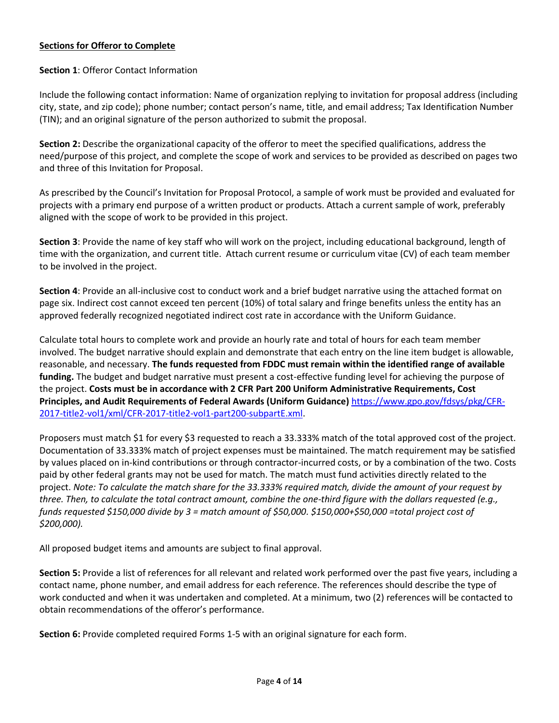#### **Sections for Offeror to Complete**

#### **Section 1**: Offeror Contact Information

Include the following contact information: Name of organization replying to invitation for proposal address (including city, state, and zip code); phone number; contact person's name, title, and email address; Tax Identification Number (TIN); and an original signature of the person authorized to submit the proposal.

**Section 2:** Describe the organizational capacity of the offeror to meet the specified qualifications, address the need/purpose of this project, and complete the scope of work and services to be provided as described on pages two and three of this Invitation for Proposal.

As prescribed by the Council's Invitation for Proposal Protocol, a sample of work must be provided and evaluated for projects with a primary end purpose of a written product or products. Attach a current sample of work, preferably aligned with the scope of work to be provided in this project.

**Section 3**: Provide the name of key staff who will work on the project, including educational background, length of time with the organization, and current title. Attach current resume or curriculum vitae (CV) of each team member to be involved in the project.

**Section 4**: Provide an all-inclusive cost to conduct work and a brief budget narrative using the attached format on page six. Indirect cost cannot exceed ten percent (10%) of total salary and fringe benefits unless the entity has an approved federally recognized negotiated indirect cost rate in accordance with the Uniform Guidance.

Calculate total hours to complete work and provide an hourly rate and total of hours for each team member involved. The budget narrative should explain and demonstrate that each entry on the line item budget is allowable, reasonable, and necessary. **The funds requested from FDDC must remain within the identified range of available funding.** The budget and budget narrative must present a cost-effective funding level for achieving the purpose of the project. **Costs must be in accordance with 2 CFR Part 200 Uniform Administrative Requirements, Cost Principles, and Audit Requirements of Federal Awards (Uniform Guidance)** [https://www.gpo.gov/fdsys/pkg/CFR-](https://www.gpo.gov/fdsys/pkg/CFR-2017-title2-vol1/xml/CFR-2017-title2-vol1-part200-subpartE.xml)[2017-title2-vol1/xml/CFR-2017-title2-vol1-part200-subpartE.xml.](https://www.gpo.gov/fdsys/pkg/CFR-2017-title2-vol1/xml/CFR-2017-title2-vol1-part200-subpartE.xml)

Proposers must match \$1 for every \$3 requested to reach a 33.333% match of the total approved cost of the project. Documentation of 33.333% match of project expenses must be maintained. The match requirement may be satisfied by values placed on in-kind contributions or through contractor-incurred costs, or by a combination of the two. Costs paid by other federal grants may not be used for match. The match must fund activities directly related to the project. *Note: To calculate the match share for the 33.333% required match, divide the amount of your request by three. Then, to calculate the total contract amount, combine the one-third figure with the dollars requested (e.g., funds requested \$150,000 divide by 3 = match amount of \$50,000. \$150,000+\$50,000 =total project cost of \$200,000).*

All proposed budget items and amounts are subject to final approval.

**Section 5:** Provide a list of references for all relevant and related work performed over the past five years, including a contact name, phone number, and email address for each reference. The references should describe the type of work conducted and when it was undertaken and completed. At a minimum, two (2) references will be contacted to obtain recommendations of the offeror's performance.

**Section 6:** Provide completed required Forms 1-5 with an original signature for each form.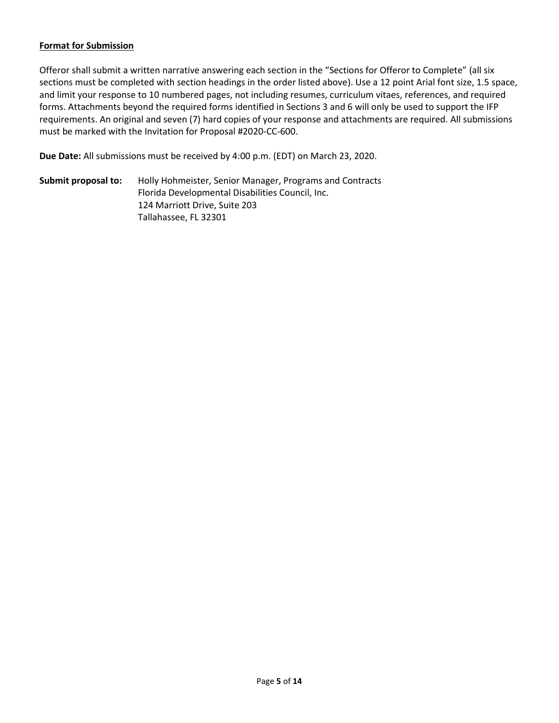#### **Format for Submission**

Offeror shall submit a written narrative answering each section in the "Sections for Offeror to Complete" (all six sections must be completed with section headings in the order listed above). Use a 12 point Arial font size, 1.5 space, and limit your response to 10 numbered pages, not including resumes, curriculum vitaes, references, and required forms. Attachments beyond the required forms identified in Sections 3 and 6 will only be used to support the IFP requirements. An original and seven (7) hard copies of your response and attachments are required. All submissions must be marked with the Invitation for Proposal #2020-CC-600.

**Due Date:** All submissions must be received by 4:00 p.m. (EDT) on March 23, 2020.

**Submit proposal to:** Holly Hohmeister, Senior Manager, Programs and Contracts Florida Developmental Disabilities Council, Inc. 124 Marriott Drive, Suite 203 Tallahassee, FL 32301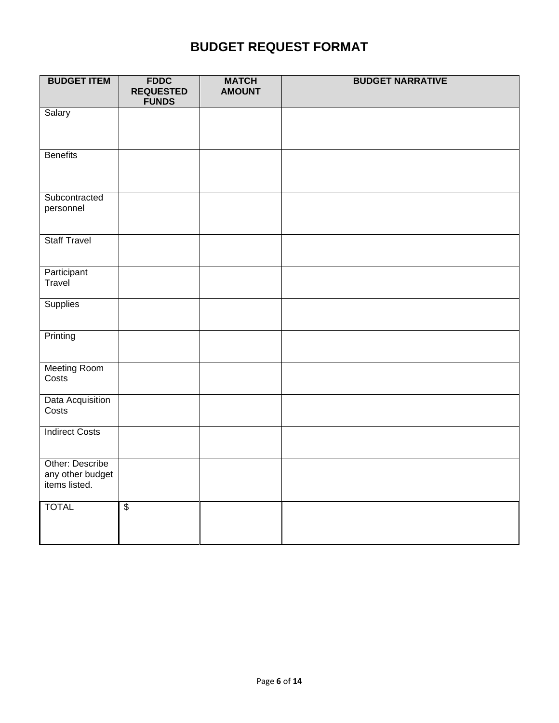# **BUDGET REQUEST FORMAT**

| <b>BUDGET ITEM</b>                                   | <b>FDDC</b><br><b>REQUESTED</b><br><b>FUNDS</b> | <b>MATCH</b><br><b>AMOUNT</b> | <b>BUDGET NARRATIVE</b> |
|------------------------------------------------------|-------------------------------------------------|-------------------------------|-------------------------|
| Salary                                               |                                                 |                               |                         |
| <b>Benefits</b>                                      |                                                 |                               |                         |
| Subcontracted<br>personnel                           |                                                 |                               |                         |
| <b>Staff Travel</b>                                  |                                                 |                               |                         |
| Participant<br>Travel                                |                                                 |                               |                         |
| <b>Supplies</b>                                      |                                                 |                               |                         |
| Printing                                             |                                                 |                               |                         |
| <b>Meeting Room</b><br>Costs                         |                                                 |                               |                         |
| Data Acquisition<br>Costs                            |                                                 |                               |                         |
| <b>Indirect Costs</b>                                |                                                 |                               |                         |
| Other: Describe<br>any other budget<br>items listed. |                                                 |                               |                         |
| <b>TOTAL</b>                                         | $\overline{\$}$                                 |                               |                         |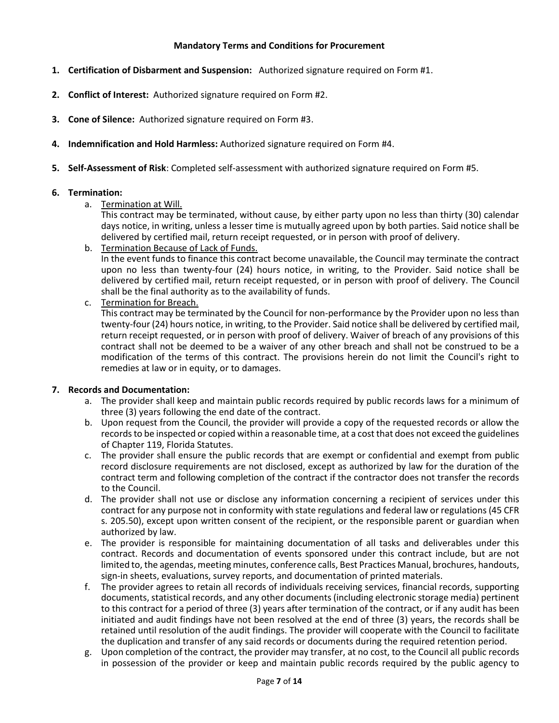#### **Mandatory Terms and Conditions for Procurement**

- **1. Certification of Disbarment and Suspension:** Authorized signature required on Form #1.
- **2. Conflict of Interest:** Authorized signature required on Form #2.
- **3. Cone of Silence:** Authorized signature required on Form #3.
- **4. Indemnification and Hold Harmless:** Authorized signature required on Form #4.
- **5. Self-Assessment of Risk**: Completed self-assessment with authorized signature required on Form #5.

#### **6. Termination:**

a. Termination at Will.

This contract may be terminated, without cause, by either party upon no less than thirty (30) calendar days notice, in writing, unless a lesser time is mutually agreed upon by both parties. Said notice shall be delivered by certified mail, return receipt requested, or in person with proof of delivery.

b. Termination Because of Lack of Funds.

In the event funds to finance this contract become unavailable, the Council may terminate the contract upon no less than twenty-four (24) hours notice, in writing, to the Provider. Said notice shall be delivered by certified mail, return receipt requested, or in person with proof of delivery. The Council shall be the final authority as to the availability of funds.

c. Termination for Breach.

This contract may be terminated by the Council for non-performance by the Provider upon no less than twenty-four (24) hours notice, in writing, to the Provider. Said notice shall be delivered by certified mail, return receipt requested, or in person with proof of delivery. Waiver of breach of any provisions of this contract shall not be deemed to be a waiver of any other breach and shall not be construed to be a modification of the terms of this contract. The provisions herein do not limit the Council's right to remedies at law or in equity, or to damages.

#### **7. Records and Documentation:**

- a. The provider shall keep and maintain public records required by public records laws for a minimum of three (3) years following the end date of the contract.
- b. Upon request from the Council, the provider will provide a copy of the requested records or allow the records to be inspected or copied within a reasonable time, at a cost that does not exceed the guidelines of Chapter 119, Florida Statutes.
- c. The provider shall ensure the public records that are exempt or confidential and exempt from public record disclosure requirements are not disclosed, except as authorized by law for the duration of the contract term and following completion of the contract if the contractor does not transfer the records to the Council.
- d. The provider shall not use or disclose any information concerning a recipient of services under this contract for any purpose not in conformity with state regulations and federal law or regulations (45 CFR s. 205.50), except upon written consent of the recipient, or the responsible parent or guardian when authorized by law.
- e. The provider is responsible for maintaining documentation of all tasks and deliverables under this contract. Records and documentation of events sponsored under this contract include, but are not limited to, the agendas, meeting minutes, conference calls, Best Practices Manual, brochures, handouts, sign-in sheets, evaluations, survey reports, and documentation of printed materials.
- f. The provider agrees to retain all records of individuals receiving services, financial records, supporting documents, statistical records, and any other documents (including electronic storage media) pertinent to this contract for a period of three (3) years after termination of the contract, or if any audit has been initiated and audit findings have not been resolved at the end of three (3) years, the records shall be retained until resolution of the audit findings. The provider will cooperate with the Council to facilitate the duplication and transfer of any said records or documents during the required retention period.
- g. Upon completion of the contract, the provider may transfer, at no cost, to the Council all public records in possession of the provider or keep and maintain public records required by the public agency to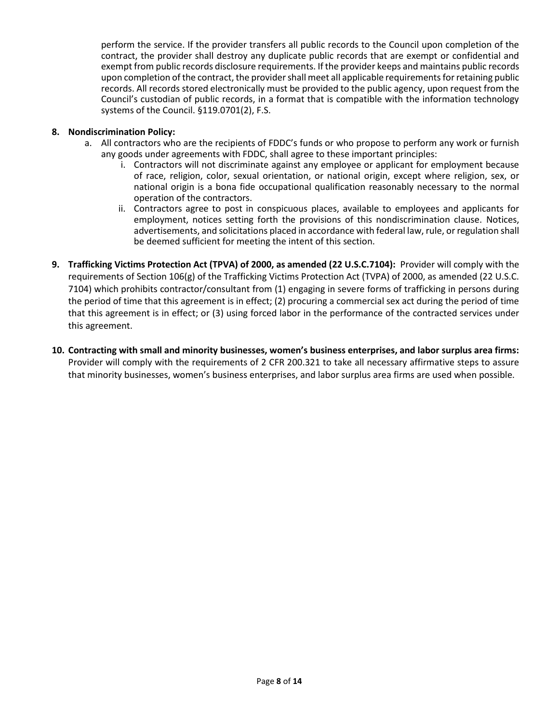perform the service. If the provider transfers all public records to the Council upon completion of the contract, the provider shall destroy any duplicate public records that are exempt or confidential and exempt from public records disclosure requirements. If the provider keeps and maintains public records upon completion of the contract, the provider shall meet all applicable requirements for retaining public records. All records stored electronically must be provided to the public agency, upon request from the Council's custodian of public records, in a format that is compatible with the information technology systems of the Council. §119.0701(2), F.S.

#### **8. Nondiscrimination Policy:**

- a. All contractors who are the recipients of FDDC's funds or who propose to perform any work or furnish any goods under agreements with FDDC, shall agree to these important principles:
	- i. Contractors will not discriminate against any employee or applicant for employment because of race, religion, color, sexual orientation, or national origin, except where religion, sex, or national origin is a bona fide occupational qualification reasonably necessary to the normal operation of the contractors.
	- ii. Contractors agree to post in conspicuous places, available to employees and applicants for employment, notices setting forth the provisions of this nondiscrimination clause. Notices, advertisements, and solicitations placed in accordance with federal law, rule, or regulation shall be deemed sufficient for meeting the intent of this section.
- **9. Trafficking Victims Protection Act (TPVA) of 2000, as amended (22 U.S.C.7104):** Provider will comply with the requirements of Section 106(g) of the Trafficking Victims Protection Act (TVPA) of 2000, as amended (22 U.S.C. 7104) which prohibits contractor/consultant from (1) engaging in severe forms of trafficking in persons during the period of time that this agreement is in effect; (2) procuring a commercial sex act during the period of time that this agreement is in effect; or (3) using forced labor in the performance of the contracted services under this agreement.
- **10. Contracting with small and minority businesses, women's business enterprises, and labor surplus area firms:**  Provider will comply with the requirements of 2 CFR 200.321 to take all necessary affirmative steps to assure that minority businesses, women's business enterprises, and labor surplus area firms are used when possible.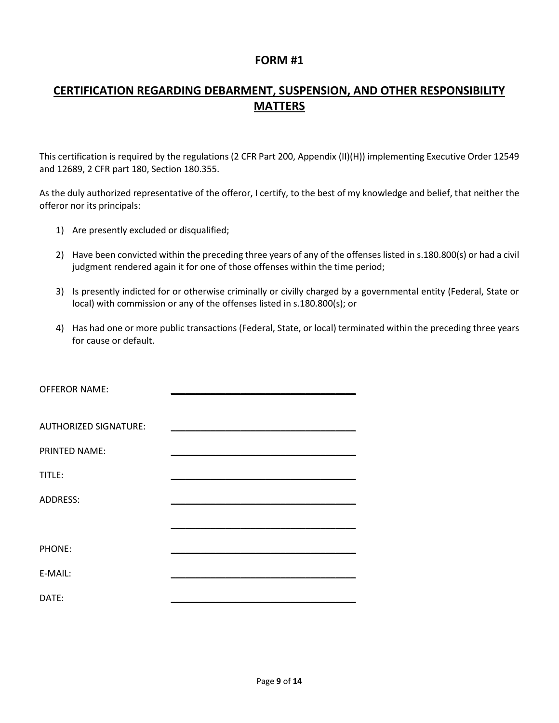## **CERTIFICATION REGARDING DEBARMENT, SUSPENSION, AND OTHER RESPONSIBILITY MATTERS**

This certification is required by the regulations (2 CFR Part 200, Appendix (II)(H)) implementing Executive Order 12549 and 12689, 2 CFR part 180, Section 180.355.

As the duly authorized representative of the offeror, I certify, to the best of my knowledge and belief, that neither the offeror nor its principals:

- 1) Are presently excluded or disqualified;
- 2) Have been convicted within the preceding three years of any of the offenses listed in s.180.800(s) or had a civil judgment rendered again it for one of those offenses within the time period;
- 3) Is presently indicted for or otherwise criminally or civilly charged by a governmental entity (Federal, State or local) with commission or any of the offenses listed in s.180.800(s); or
- 4) Has had one or more public transactions (Federal, State, or local) terminated within the preceding three years for cause or default.

| <b>OFFEROR NAME:</b>         | <u> 1980 - Johann Stein, mars an deus Fran</u> |
|------------------------------|------------------------------------------------|
|                              |                                                |
| <b>AUTHORIZED SIGNATURE:</b> |                                                |
| PRINTED NAME:                |                                                |
| TITLE:                       |                                                |
| ADDRESS:                     |                                                |
|                              |                                                |
| PHONE:                       |                                                |
| E-MAIL:                      |                                                |
| DATE:                        |                                                |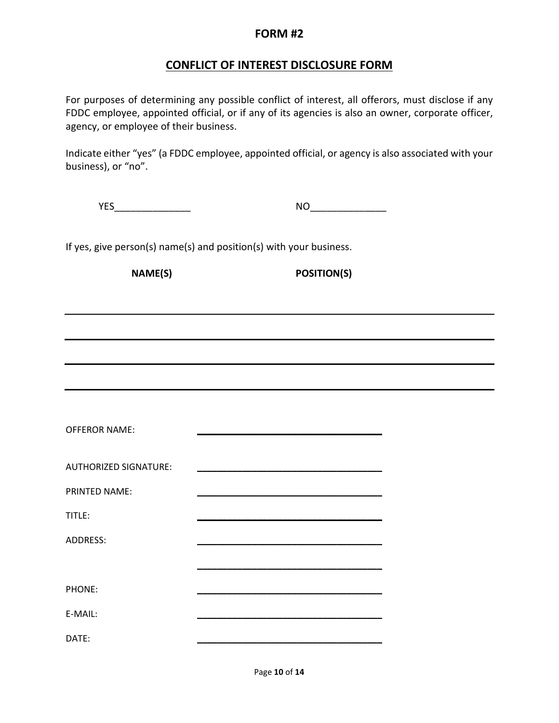## **CONFLICT OF INTEREST DISCLOSURE FORM**

For purposes of determining any possible conflict of interest, all offerors, must disclose if any FDDC employee, appointed official, or if any of its agencies is also an owner, corporate officer, agency, or employee of their business.

Indicate either "yes" (a FDDC employee, appointed official, or agency is also associated with your business), or "no".

| .<br>- - -<br>$\cdot$ $-$ |  |
|---------------------------|--|
|                           |  |

If yes, give person(s) name(s) and position(s) with your business.

**NAME(S) POSITION(S)**

| <b>OFFEROR NAME:</b>         |                                                                                                                       |
|------------------------------|-----------------------------------------------------------------------------------------------------------------------|
| <b>AUTHORIZED SIGNATURE:</b> | <u> 1989 - Johann John Stone, markin amerikan bisa di sebagai pertama dan pertama dan pertama dan pertama dan per</u> |
| <b>PRINTED NAME:</b>         | <u> 1950 - Johann John Stone, mars et al. (</u>                                                                       |
| TITLE:                       |                                                                                                                       |
| <b>ADDRESS:</b>              |                                                                                                                       |
|                              |                                                                                                                       |
| PHONE:                       |                                                                                                                       |
| E-MAIL:                      |                                                                                                                       |
| DATE:                        |                                                                                                                       |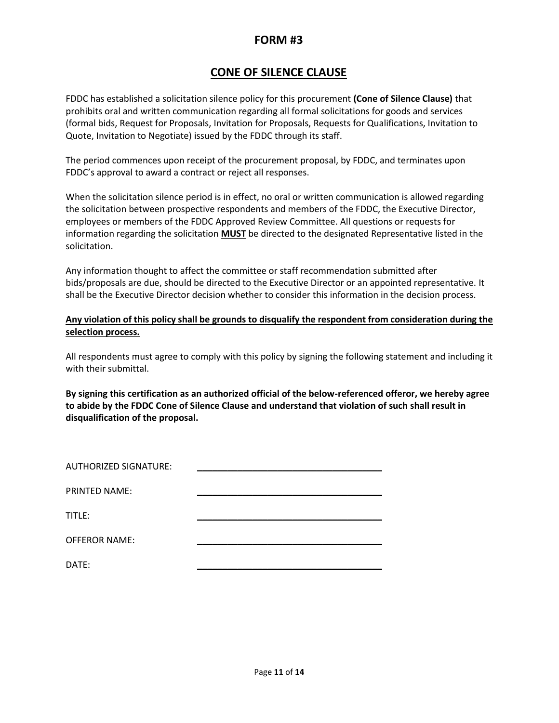## **CONE OF SILENCE CLAUSE**

FDDC has established a solicitation silence policy for this procurement **(Cone of Silence Clause)** that prohibits oral and written communication regarding all formal solicitations for goods and services (formal bids, Request for Proposals, Invitation for Proposals, Requests for Qualifications, Invitation to Quote, Invitation to Negotiate) issued by the FDDC through its staff.

The period commences upon receipt of the procurement proposal, by FDDC, and terminates upon FDDC's approval to award a contract or reject all responses.

When the solicitation silence period is in effect, no oral or written communication is allowed regarding the solicitation between prospective respondents and members of the FDDC, the Executive Director, employees or members of the FDDC Approved Review Committee. All questions or requests for information regarding the solicitation **MUST** be directed to the designated Representative listed in the solicitation.

Any information thought to affect the committee or staff recommendation submitted after bids/proposals are due, should be directed to the Executive Director or an appointed representative. It shall be the Executive Director decision whether to consider this information in the decision process.

#### **Any violation of this policy shall be grounds to disqualify the respondent from consideration during the selection process.**

All respondents must agree to comply with this policy by signing the following statement and including it with their submittal.

**By signing this certification as an authorized official of the below-referenced offeror, we hereby agree to abide by the FDDC Cone of Silence Clause and understand that violation of such shall result in disqualification of the proposal.**

| <b>AUTHORIZED SIGNATURE:</b> |  |
|------------------------------|--|
| <b>PRINTED NAME:</b>         |  |
| TITLE:                       |  |
| <b>OFFEROR NAME:</b>         |  |
| DATE:                        |  |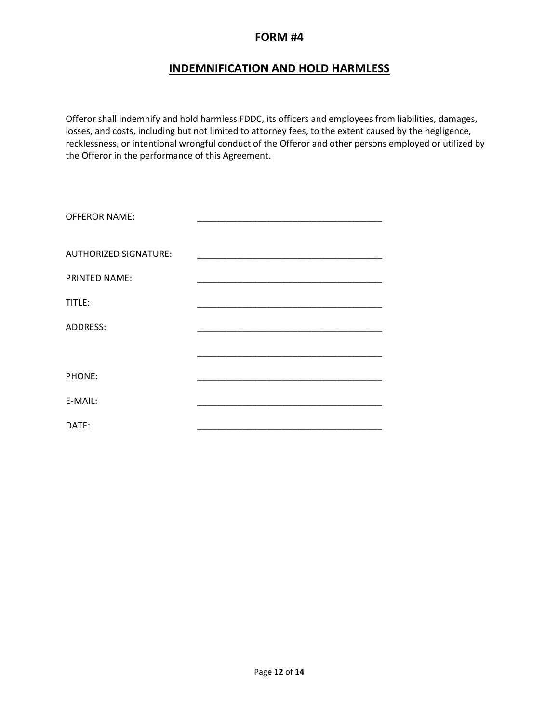## **INDEMNIFICATION AND HOLD HARMLESS**

Offeror shall indemnify and hold harmless FDDC, its officers and employees from liabilities, damages, losses, and costs, including but not limited to attorney fees, to the extent caused by the negligence, recklessness, or intentional wrongful conduct of the Offeror and other persons employed or utilized by the Offeror in the performance of this Agreement.

| <b>OFFEROR NAME:</b>         |  |
|------------------------------|--|
| <b>AUTHORIZED SIGNATURE:</b> |  |
| <b>PRINTED NAME:</b>         |  |
| TITLE:                       |  |
| ADDRESS:                     |  |
|                              |  |
| PHONE:                       |  |
| E-MAIL:                      |  |
| DATE:                        |  |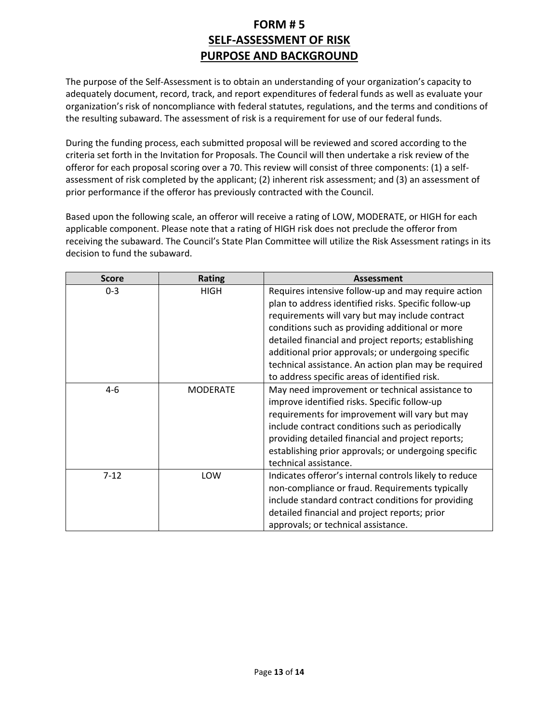## **FORM # 5 SELF-ASSESSMENT OF RISK PURPOSE AND BACKGROUND**

The purpose of the Self-Assessment is to obtain an understanding of your organization's capacity to adequately document, record, track, and report expenditures of federal funds as well as evaluate your organization's risk of noncompliance with federal statutes, regulations, and the terms and conditions of the resulting subaward. The assessment of risk is a requirement for use of our federal funds.

During the funding process, each submitted proposal will be reviewed and scored according to the criteria set forth in the Invitation for Proposals. The Council will then undertake a risk review of the offeror for each proposal scoring over a 70. This review will consist of three components: (1) a selfassessment of risk completed by the applicant; (2) inherent risk assessment; and (3) an assessment of prior performance if the offeror has previously contracted with the Council.

Based upon the following scale, an offeror will receive a rating of LOW, MODERATE, or HIGH for each applicable component. Please note that a rating of HIGH risk does not preclude the offeror from receiving the subaward. The Council's State Plan Committee will utilize the Risk Assessment ratings in its decision to fund the subaward.

| <b>Score</b> | <b>Rating</b>   | <b>Assessment</b>                                                                                                                                                                                                                                                                                                                                                                                                                        |
|--------------|-----------------|------------------------------------------------------------------------------------------------------------------------------------------------------------------------------------------------------------------------------------------------------------------------------------------------------------------------------------------------------------------------------------------------------------------------------------------|
| $0 - 3$      | <b>HIGH</b>     | Requires intensive follow-up and may require action<br>plan to address identified risks. Specific follow-up<br>requirements will vary but may include contract<br>conditions such as providing additional or more<br>detailed financial and project reports; establishing<br>additional prior approvals; or undergoing specific<br>technical assistance. An action plan may be required<br>to address specific areas of identified risk. |
| $4-6$        | <b>MODERATE</b> | May need improvement or technical assistance to<br>improve identified risks. Specific follow-up<br>requirements for improvement will vary but may<br>include contract conditions such as periodically<br>providing detailed financial and project reports;<br>establishing prior approvals; or undergoing specific<br>technical assistance.                                                                                              |
| $7-12$       | LOW             | Indicates offeror's internal controls likely to reduce<br>non-compliance or fraud. Requirements typically<br>include standard contract conditions for providing<br>detailed financial and project reports; prior<br>approvals; or technical assistance.                                                                                                                                                                                  |